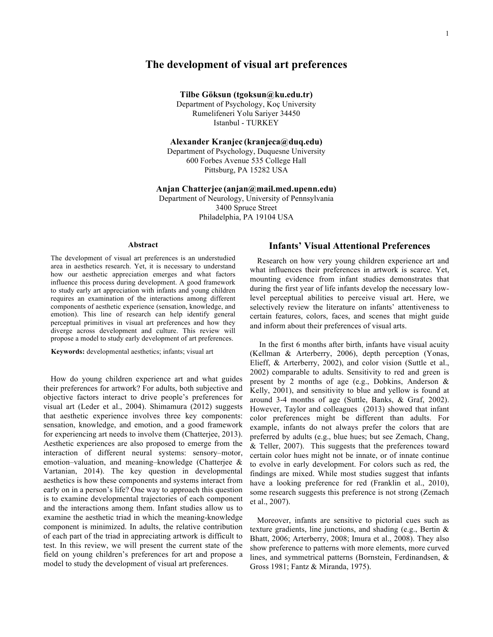# **The development of visual art preferences**

**Tilbe Göksun (tgoksun@ku.edu.tr)** Department of Psychology, Koç University Rumelifeneri Yolu Sariyer 34450 Istanbul - TURKEY

**Alexander Kranjec (kranjeca@duq.edu)** Department of Psychology, Duquesne University 600 Forbes Avenue 535 College Hall Pittsburg, PA 15282 USA

**Anjan Chatterjee (anjan@mail.med.upenn.edu)**

Department of Neurology, University of Pennsylvania 3400 Spruce Street Philadelphia, PA 19104 USA

#### **Abstract**

The development of visual art preferences is an understudied area in aesthetics research. Yet, it is necessary to understand how our aesthetic appreciation emerges and what factors influence this process during development. A good framework to study early art appreciation with infants and young children requires an examination of the interactions among different components of aesthetic experience (sensation, knowledge, and emotion). This line of research can help identify general perceptual primitives in visual art preferences and how they diverge across development and culture. This review will propose a model to study early development of art preferences.

**Keywords:** developmental aesthetics; infants; visual art

How do young children experience art and what guides their preferences for artwork? For adults, both subjective and objective factors interact to drive people's preferences for visual art (Leder et al., 2004). Shimamura (2012) suggests that aesthetic experience involves three key components: sensation, knowledge, and emotion, and a good framework for experiencing art needs to involve them (Chatterjee, 2013). Aesthetic experiences are also proposed to emerge from the interaction of different neural systems: sensory–motor, emotion–valuation, and meaning–knowledge (Chatterjee & Vartanian, 2014). The key question in developmental aesthetics is how these components and systems interact from early on in a person's life? One way to approach this question is to examine developmental trajectories of each component and the interactions among them. Infant studies allow us to examine the aesthetic triad in which the meaning-knowledge component is minimized. In adults, the relative contribution of each part of the triad in appreciating artwork is difficult to test. In this review, we will present the current state of the field on young children's preferences for art and propose a model to study the development of visual art preferences.

## **Infants' Visual Attentional Preferences**

Research on how very young children experience art and what influences their preferences in artwork is scarce. Yet, mounting evidence from infant studies demonstrates that during the first year of life infants develop the necessary lowlevel perceptual abilities to perceive visual art. Here, we selectively review the literature on infants' attentiveness to certain features, colors, faces, and scenes that might guide and inform about their preferences of visual arts.

In the first 6 months after birth, infants have visual acuity (Kellman & Arterberry, 2006), depth perception (Yonas, Elieff, & Arterberry, 2002), and color vision (Suttle et al., 2002) comparable to adults. Sensitivity to red and green is present by 2 months of age (e.g., Dobkins, Anderson & Kelly, 2001), and sensitivity to blue and yellow is found at around 3-4 months of age (Suttle, Banks, & Graf, 2002). However, Taylor and colleagues (2013) showed that infant color preferences might be different than adults. For example, infants do not always prefer the colors that are preferred by adults (e.g., blue hues; but see Zemach, Chang, & Teller, 2007). This suggests that the preferences toward certain color hues might not be innate, or of innate continue to evolve in early development. For colors such as red, the findings are mixed. While most studies suggest that infants have a looking preference for red (Franklin et al., 2010), some research suggests this preference is not strong (Zemach et al., 2007).

Moreover, infants are sensitive to pictorial cues such as texture gradients, line junctions, and shading (e.g., Bertin & Bhatt, 2006; Arterberry, 2008; Imura et al., 2008). They also show preference to patterns with more elements, more curved lines, and symmetrical patterns (Bornstein, Ferdinandsen, & Gross 1981; Fantz & Miranda, 1975).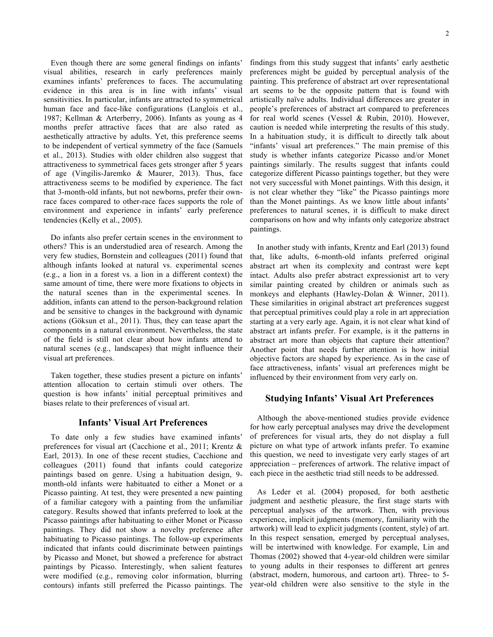Even though there are some general findings on infants' visual abilities, research in early preferences mainly examines infants' preferences to faces. The accumulating evidence in this area is in line with infants' visual sensitivities. In particular, infants are attracted to symmetrical human face and face-like configurations (Langlois et al., 1987; Kellman & Arterberry, 2006). Infants as young as 4 months prefer attractive faces that are also rated as aesthetically attractive by adults. Yet, this preference seems to be independent of vertical symmetry of the face (Samuels et al., 2013). Studies with older children also suggest that attractiveness to symmetrical faces gets stronger after 5 years of age (Vingilis-Jaremko & Maurer, 2013). Thus, face attractiveness seems to be modified by experience. The fact that 3-month-old infants, but not newborns, prefer their ownrace faces compared to other-race faces supports the role of environment and experience in infants' early preference tendencies (Kelly et al., 2005).

Do infants also prefer certain scenes in the environment to others? This is an understudied area of research. Among the very few studies, Bornstein and colleagues (2011) found that although infants looked at natural vs. experimental scenes (e.g., a lion in a forest vs. a lion in a different context) the same amount of time, there were more fixations to objects in the natural scenes than in the experimental scenes. In addition, infants can attend to the person-background relation and be sensitive to changes in the background with dynamic actions (Göksun et al., 2011). Thus, they can tease apart the components in a natural environment. Nevertheless, the state of the field is still not clear about how infants attend to natural scenes (e.g., landscapes) that might influence their visual art preferences.

Taken together, these studies present a picture on infants' attention allocation to certain stimuli over others. The question is how infants' initial perceptual primitives and biases relate to their preferences of visual art.

### **Infants' Visual Art Preferences**

To date only a few studies have examined infants' preferences for visual art (Cacchione et al., 2011; Krentz & Earl, 2013). In one of these recent studies, Cacchione and colleagues (2011) found that infants could categorize paintings based on genre. Using a habituation design, 9 month-old infants were habituated to either a Monet or a Picasso painting. At test, they were presented a new painting of a familiar category with a painting from the unfamiliar category. Results showed that infants preferred to look at the Picasso paintings after habituating to either Monet or Picasso paintings. They did not show a novelty preference after habituating to Picasso paintings. The follow-up experiments indicated that infants could discriminate between paintings by Picasso and Monet, but showed a preference for abstract paintings by Picasso. Interestingly, when salient features were modified (e.g., removing color information, blurring contours) infants still preferred the Picasso paintings. The

findings from this study suggest that infants' early aesthetic preferences might be guided by perceptual analysis of the painting. This preference of abstract art over representational art seems to be the opposite pattern that is found with artistically naïve adults. Individual differences are greater in people's preferences of abstract art compared to preferences for real world scenes (Vessel & Rubin, 2010). However, caution is needed while interpreting the results of this study. In a habituation study, it is difficult to directly talk about "infants' visual art preferences." The main premise of this study is whether infants categorize Picasso and/or Monet paintings similarly. The results suggest that infants could categorize different Picasso paintings together, but they were not very successful with Monet paintings. With this design, it is not clear whether they "like" the Picasso paintings more than the Monet paintings. As we know little about infants' preferences to natural scenes, it is difficult to make direct comparisons on how and why infants only categorize abstract paintings.

In another study with infants, Krentz and Earl (2013) found that, like adults, 6-month-old infants preferred original abstract art when its complexity and contrast were kept intact. Adults also prefer abstract expressionist art to very similar painting created by children or animals such as monkeys and elephants (Hawley-Dolan & Winner, 2011). These similarities in original abstract art preferences suggest that perceptual primitives could play a role in art appreciation starting at a very early age. Again, it is not clear what kind of abstract art infants prefer. For example, is it the patterns in abstract art more than objects that capture their attention? Another point that needs further attention is how initial objective factors are shaped by experience. As in the case of face attractiveness, infants' visual art preferences might be influenced by their environment from very early on.

## **Studying Infants' Visual Art Preferences**

Although the above-mentioned studies provide evidence for how early perceptual analyses may drive the development of preferences for visual arts, they do not display a full picture on what type of artwork infants prefer. To examine this question, we need to investigate very early stages of art appreciation – preferences of artwork. The relative impact of each piece in the aesthetic triad still needs to be addressed.

As Leder et al. (2004) proposed, for both aesthetic judgment and aesthetic pleasure, the first stage starts with perceptual analyses of the artwork. Then, with previous experience, implicit judgments (memory, familiarity with the artwork) will lead to explicit judgments (content, style) of art. In this respect sensation, emerged by perceptual analyses, will be intertwined with knowledge. For example, Lin and Thomas (2002) showed that 4-year-old children were similar to young adults in their responses to different art genres (abstract, modern, humorous, and cartoon art). Three- to 5 year-old children were also sensitive to the style in the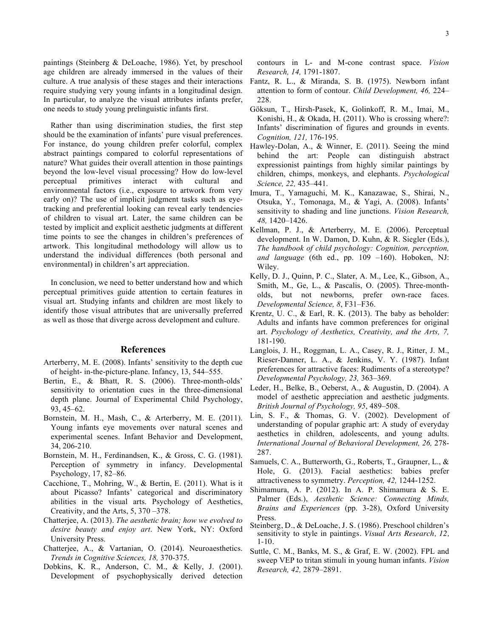paintings (Steinberg & DeLoache, 1986). Yet, by preschool age children are already immersed in the values of their culture. A true analysis of these stages and their interactions require studying very young infants in a longitudinal design. In particular, to analyze the visual attributes infants prefer, one needs to study young prelinguistic infants first.

Rather than using discrimination studies, the first step should be the examination of infants' pure visual preferences. For instance, do young children prefer colorful, complex abstract paintings compared to colorful representations of nature? What guides their overall attention in those paintings beyond the low-level visual processing? How do low-level perceptual primitives interact with cultural and environmental factors (i.e., exposure to artwork from very early on)? The use of implicit judgment tasks such as eyetracking and preferential looking can reveal early tendencies of children to visual art. Later, the same children can be tested by implicit and explicit aesthetic judgments at different time points to see the changes in children's preferences of artwork. This longitudinal methodology will allow us to understand the individual differences (both personal and environmental) in children's art appreciation.

In conclusion, we need to better understand how and which perceptual primitives guide attention to certain features in visual art. Studying infants and children are most likely to identify those visual attributes that are universally preferred as well as those that diverge across development and culture.

### **References**

- Arterberry, M. E. (2008). Infants' sensitivity to the depth cue of height- in-the-picture-plane. Infancy, 13, 544–555.
- Bertin, E., & Bhatt, R. S. (2006). Three-month-olds' sensitivity to orientation cues in the three-dimensional depth plane. Journal of Experimental Child Psychology, 93, 45–62.
- Bornstein, M. H., Mash, C., & Arterberry, M. E. (2011). Young infants eye movements over natural scenes and experimental scenes. Infant Behavior and Development, 34, 206-210.
- Bornstein, M. H., Ferdinandsen, K., & Gross, C. G. (1981). Perception of symmetry in infancy. Developmental Psychology, 17, 82–86.
- Cacchione, T., Mohring, W., & Bertin, E. (2011). What is it about Picasso? Infants' categorical and discriminatory abilities in the visual arts. Psychology of Aesthetics, Creativity, and the Arts, 5, 370 –378.
- Chatterjee, A. (2013). *The aesthetic brain; how we evolved to desire beauty and enjoy art*. New York, NY: Oxford University Press.
- Chatterjee, A., & Vartanian, O. (2014). Neuroaesthetics. *Trends in Cognitive Sciences, 18,* 370-375.
- Dobkins, K. R., Anderson, C. M., & Kelly, J. (2001). Development of psychophysically derived detection

contours in L- and M-cone contrast space. *Vision Research, 14,* 1791-1807.

- Fantz, R. L., & Miranda, S. B. (1975). Newborn infant attention to form of contour. *Child Development, 46,* 224– 228.
- Göksun, T., Hirsh-Pasek, K, Golinkoff, R. M., Imai, M., Konishi, H., & Okada, H. (2011). Who is crossing where?: Infants' discrimination of figures and grounds in events. *Cognition, 121,* 176-195.
- Hawley-Dolan, A., & Winner, E. (2011). Seeing the mind behind the art: People can distinguish abstract expressionist paintings from highly similar paintings by children, chimps, monkeys, and elephants. *Psychological Science, 22,* 435–441.
- Imura, T., Yamaguchi, M. K., Kanazawae, S., Shirai, N., Otsuka, Y., Tomonaga, M., & Yagi, A. (2008). Infants' sensitivity to shading and line junctions. *Vision Research, 48,* 1420–1426.
- Kellman, P. J., & Arterberry, M. E. (2006). Perceptual development. In W. Damon, D. Kuhn, & R. Siegler (Eds.), *The handbook of child psychology: Cognition, perception, and language* (6th ed., pp. 109 –160). Hoboken, NJ: Wiley.
- Kelly, D. J., Quinn, P. C., Slater, A. M., Lee, K., Gibson, A., Smith, M., Ge, L., & Pascalis, O. (2005). Three-montholds, but not newborns, prefer own-race faces. *Developmental Science, 8*, F31–F36.
- Krentz, U. C., & Earl, R. K. (2013). The baby as beholder: Adults and infants have common preferences for original art. *Psychology of Aesthetics, Creativity, and the Arts, 7,* 181-190.
- Langlois, J. H., Roggman, L. A., Casey, R. J., Ritter, J. M., Rieser-Danner, L. A., & Jenkins, V. Y. (1987). Infant preferences for attractive faces: Rudiments of a stereotype? *Developmental Psychology, 23,* 363–369.
- Leder, H., Belke, B., Oeberst, A., & Augustin, D. (2004). A model of aesthetic appreciation and aesthetic judgments. *British Journal of Psychology, 95*, 489–508.
- Lin, S. F., & Thomas, G. V. (2002). Development of understanding of popular graphic art: A study of everyday aesthetics in children, adolescents, and young adults. *International Journal of Behavioral Development, 26,* 278- 287.
- Samuels, C. A., Butterworth, G., Roberts, T., Graupner, L., & Hole, G. (2013). Facial aesthetics: babies prefer attractiveness to symmetry. *Perception, 42,* 1244-1252.
- Shimamura, A. P. (2012). In A. P. Shimamura & S. E. Palmer (Eds.), *Aesthetic Science: Connecting Minds, Brains and Experiences* (pp. 3-28), Oxford University Press.
- Steinberg, D., & DeLoache, J. S. (1986). Preschool children's sensitivity to style in paintings. *Visual Arts Research, 12,* 1-10.
- Suttle, C. M., Banks, M. S., & Graf, E. W. (2002). FPL and sweep VEP to tritan stimuli in young human infants. *Vision Research, 42,* 2879–2891.